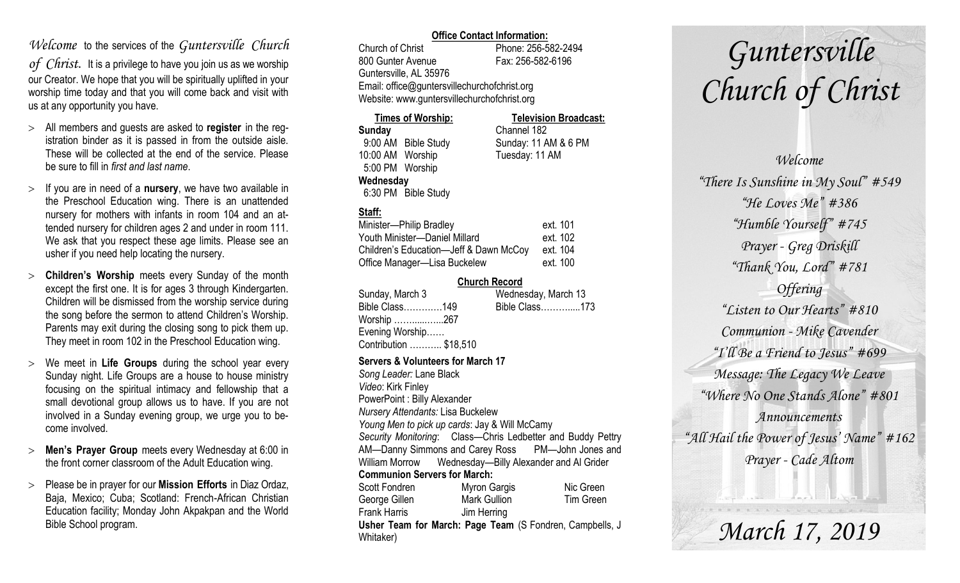## *Welcome* to the services of the *Guntersville Church*

*of Christ*. It is a privilege to have you join us as we worship our Creator. We hope that you will be spiritually uplifted in your worship time today and that you will come back and visit with us at any opportunity you have.

- All members and guests are asked to **register** in the registration binder as it is passed in from the outside aisle. These will be collected at the end of the service. Please be sure to fill in *first and last name*.
- $>$  If you are in need of a **nursery**, we have two available in the Preschool Education wing. There is an unattended nursery for mothers with infants in room 104 and an attended nursery for children ages 2 and under in room 111. We ask that you respect these age limits. Please see an usher if you need help locating the nursery.
- **Children's Worship** meets every Sunday of the month except the first one. It is for ages 3 through Kindergarten. Children will be dismissed from the worship service during the song before the sermon to attend Children's Worship. Parents may exit during the closing song to pick them up. They meet in room 102 in the Preschool Education wing.
- We meet in **Life Groups** during the school year every Sunday night. Life Groups are a house to house ministry focusing on the spiritual intimacy and fellowship that a small devotional group allows us to have. If you are not involved in a Sunday evening group, we urge you to become involved.
- **Men's Prayer Group** meets every Wednesday at 6:00 in the front corner classroom of the Adult Education wing.
- Please be in prayer for our **Mission Efforts** in Diaz Ordaz, Baja, Mexico; Cuba; Scotland: French-African Christian Education facility; Monday John Akpakpan and the World Bible School program.

### **Office Contact Information:**

Church of Christ Phone: 256-582-2494 800 Gunter Avenue Fax: 256-582-6196 Guntersville, AL 35976 Email: office@guntersvillechurchofchrist.org Website: www.guntersvillechurchofchrist.org

| <b>Times of Worship:</b> |                     | <b>Television Broadcast:</b> |
|--------------------------|---------------------|------------------------------|
| Sunday                   |                     | Channel 182                  |
|                          | 9:00 AM Bible Study | Sunday: 11 AM & 6 PM         |
| 10:00 AM Worship         |                     | Tuesday: 11 AM               |
| 5:00 PM Worship          |                     |                              |
| Wednesday                |                     |                              |
|                          | 6:30 PM Bible Study |                              |

### **Staff:**

| Minister-Philip Bradley                | ext. 101 |
|----------------------------------------|----------|
| Youth Minister-Daniel Millard          | ext. 102 |
| Children's Education-Jeff & Dawn McCoy | ext. 104 |
| Office Manager-Lisa Buckelew           | ext. 100 |

### **Church Record**

| Sunday, March 3        | Wednesday, March 13 |
|------------------------|---------------------|
| Bible Class149         | Bible Class173      |
| Worship 267            |                     |
| Evening Worship        |                     |
| Contribution  \$18,510 |                     |
|                        |                     |

#### **Servers & Volunteers for March 17**

*Song Leader:* Lane Black *Video*: Kirk Finley PowerPoint : Billy Alexander *Nursery Attendants:* Lisa Buckelew *Young Men to pick up cards*: Jay & Will McCamy *Security Monitoring*: Class—Chris Ledbetter and Buddy Pettry AM—Danny Simmons and Carey Ross PM—John Jones and William Morrow Wednesday—Billy Alexander and Al Grider **Communion Servers for March:**  Scott Fondren Myron Gargis Nic Green George Gillen Mark Gullion Tim Green Frank Harris Jim Herring **Usher Team for March: Page Team** (S Fondren, Campbells, J Whitaker)

# *Guntersville Church of Christ*

*Welcome "There Is Sunshine in My Soul" #549 "He Loves Me" #386 "Humble Yourself" #745 Prayer - Greg Driskill "Thank You, Lord" #781 Offering "Listen to Our Hearts" #810 Communion - Mike Cavender "I'll Be a Friend to Jesus" #699 Message: The Legacy We Leave "Where No One Stands Alone" #801 Announcements "All Hail the Power of Jesus' Name" #162 Prayer - Cade Altom*

*March 17, 2019*